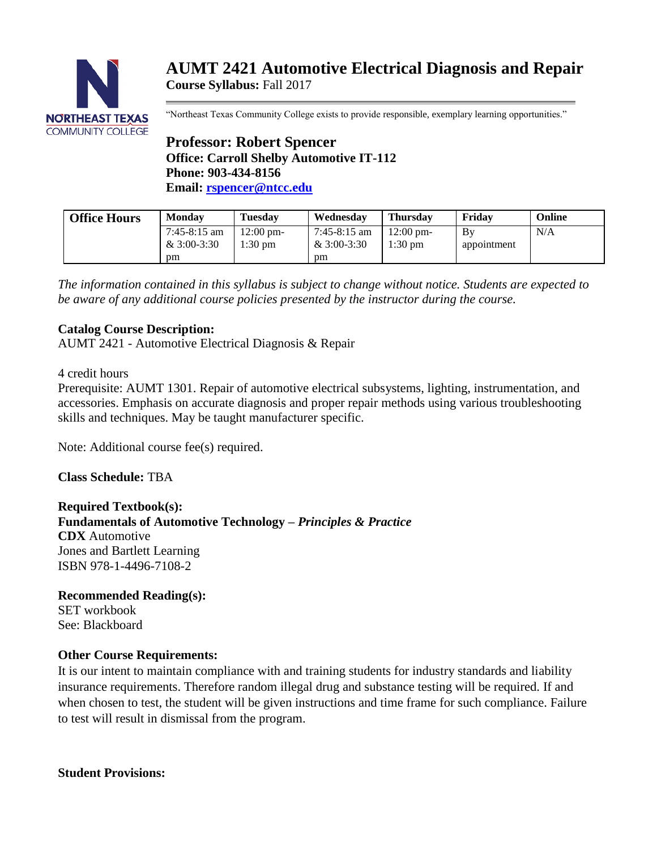

# **AUMT 2421 Automotive Electrical Diagnosis and Repair Course Syllabus:** Fall 2017

"Northeast Texas Community College exists to provide responsible, exemplary learning opportunities."

# **Professor: Robert Spencer Office: Carroll Shelby Automotive IT-112 Phone: 903-434-8156 Email: [rspencer@ntcc.edu](mailto:rspencer@ntcc.edu)**

| <b>Office Hours</b> | <b>Monday</b>                   | <b>Tuesdav</b>       | Wednesday                   | <b>Thursday</b>                 | Fridav            | Online |
|---------------------|---------------------------------|----------------------|-----------------------------|---------------------------------|-------------------|--------|
|                     | $7:45-8:15$ am<br>& $3:00-3:30$ | 12:00 pm-<br>1:30 pm | 7:45-8:15 am<br>& 3:00-3:30 | $12:00 \text{ pm}$<br>$1:30$ pm | Bv<br>appointment | N/A    |
|                     | pm                              |                      | pm                          |                                 |                   |        |

*The information contained in this syllabus is subject to change without notice. Students are expected to be aware of any additional course policies presented by the instructor during the course.*

# **Catalog Course Description:**

AUMT 2421 - Automotive Electrical Diagnosis & Repair

#### 4 credit hours

Prerequisite: AUMT 1301. Repair of automotive electrical subsystems, lighting, instrumentation, and accessories. Emphasis on accurate diagnosis and proper repair methods using various troubleshooting skills and techniques. May be taught manufacturer specific.

Note: Additional course fee(s) required.

**Class Schedule:** TBA

**Required Textbook(s): Fundamentals of Automotive Technology –** *Principles & Practice* **CDX** Automotive Jones and Bartlett Learning ISBN 978-1-4496-7108-2

**Recommended Reading(s):** SET workbook See: Blackboard

## **Other Course Requirements:**

It is our intent to maintain compliance with and training students for industry standards and liability insurance requirements. Therefore random illegal drug and substance testing will be required. If and when chosen to test, the student will be given instructions and time frame for such compliance. Failure to test will result in dismissal from the program.

**Student Provisions:**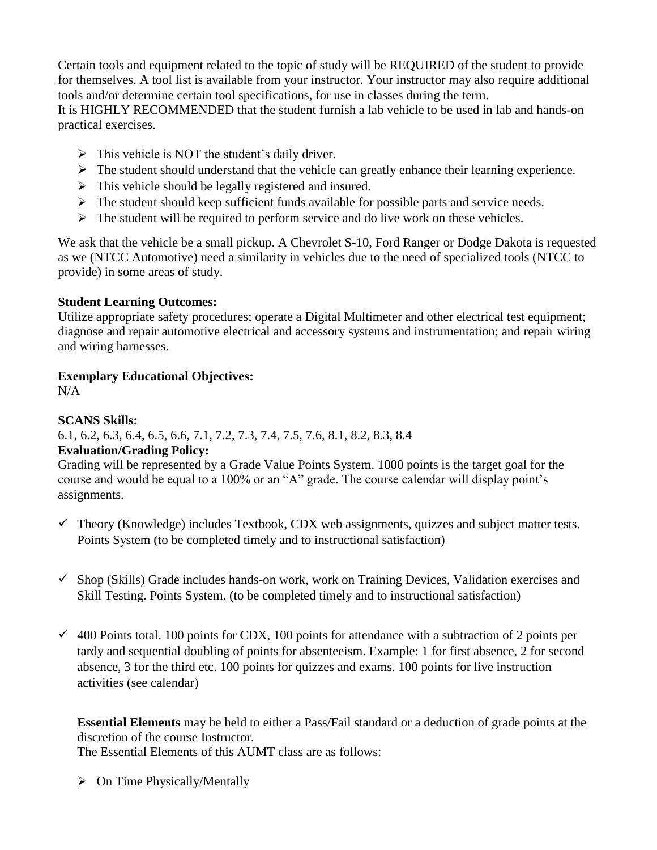Certain tools and equipment related to the topic of study will be REQUIRED of the student to provide for themselves. A tool list is available from your instructor. Your instructor may also require additional tools and/or determine certain tool specifications, for use in classes during the term.

It is HIGHLY RECOMMENDED that the student furnish a lab vehicle to be used in lab and hands-on practical exercises.

- $\triangleright$  This vehicle is NOT the student's daily driver.
- $\triangleright$  The student should understand that the vehicle can greatly enhance their learning experience.
- $\triangleright$  This vehicle should be legally registered and insured.
- $\triangleright$  The student should keep sufficient funds available for possible parts and service needs.
- $\triangleright$  The student will be required to perform service and do live work on these vehicles.

We ask that the vehicle be a small pickup. A Chevrolet S-10, Ford Ranger or Dodge Dakota is requested as we (NTCC Automotive) need a similarity in vehicles due to the need of specialized tools (NTCC to provide) in some areas of study.

## **Student Learning Outcomes:**

Utilize appropriate safety procedures; operate a Digital Multimeter and other electrical test equipment; diagnose and repair automotive electrical and accessory systems and instrumentation; and repair wiring and wiring harnesses.

# **Exemplary Educational Objectives:**

N/A

# **SCANS Skills:**

6.1, 6.2, 6.3, 6.4, 6.5, 6.6, 7.1, 7.2, 7.3, 7.4, 7.5, 7.6, 8.1, 8.2, 8.3, 8.4

# **Evaluation/Grading Policy:**

Grading will be represented by a Grade Value Points System. 1000 points is the target goal for the course and would be equal to a 100% or an "A" grade. The course calendar will display point's assignments.

- $\checkmark$  Theory (Knowledge) includes Textbook, CDX web assignments, quizzes and subject matter tests. Points System (to be completed timely and to instructional satisfaction)
- $\checkmark$  Shop (Skills) Grade includes hands-on work, work on Training Devices, Validation exercises and Skill Testing. Points System. (to be completed timely and to instructional satisfaction)
- $\checkmark$  400 Points total. 100 points for CDX, 100 points for attendance with a subtraction of 2 points per tardy and sequential doubling of points for absenteeism. Example: 1 for first absence, 2 for second absence, 3 for the third etc. 100 points for quizzes and exams. 100 points for live instruction activities (see calendar)

**Essential Elements** may be held to either a Pass/Fail standard or a deduction of grade points at the discretion of the course Instructor.

The Essential Elements of this AUMT class are as follows:

 $\triangleright$  On Time Physically/Mentally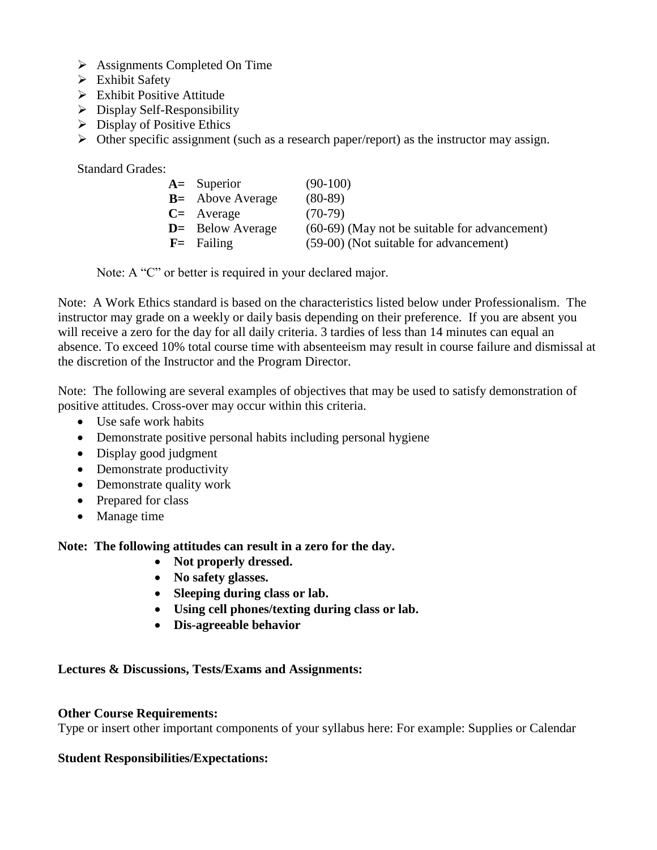- $\triangleright$  Assignments Completed On Time
- > Exhibit Safety
- $\triangleright$  Exhibit Positive Attitude
- $\triangleright$  Display Self-Responsibility
- $\triangleright$  Display of Positive Ethics
- $\triangleright$  Other specific assignment (such as a research paper/report) as the instructor may assign.

Standard Grades:

| $A=$ Superior       | $(90-100)$                                    |
|---------------------|-----------------------------------------------|
| $B =$ Above Average | $(80-89)$                                     |
| $C=$ Average        | $(70-79)$                                     |
| $D$ = Below Average | (60-69) (May not be suitable for advancement) |
| $F =$ Failing       | (59-00) (Not suitable for advancement)        |

Note: A "C" or better is required in your declared major.

Note: A Work Ethics standard is based on the characteristics listed below under Professionalism. The instructor may grade on a weekly or daily basis depending on their preference. If you are absent you will receive a zero for the day for all daily criteria. 3 tardies of less than 14 minutes can equal an absence. To exceed 10% total course time with absenteeism may result in course failure and dismissal at the discretion of the Instructor and the Program Director.

Note: The following are several examples of objectives that may be used to satisfy demonstration of positive attitudes. Cross-over may occur within this criteria.

- Use safe work habits
- Demonstrate positive personal habits including personal hygiene
- Display good judgment
- Demonstrate productivity
- Demonstrate quality work
- Prepared for class
- Manage time

**Note: The following attitudes can result in a zero for the day.**

- Not properly dressed.
- **No safety glasses.**
- **Sleeping during class or lab.**
- **Using cell phones/texting during class or lab.**
- **Dis-agreeable behavior**

#### **Lectures & Discussions, Tests/Exams and Assignments:**

#### **Other Course Requirements:**

Type or insert other important components of your syllabus here: For example: Supplies or Calendar

#### **Student Responsibilities/Expectations:**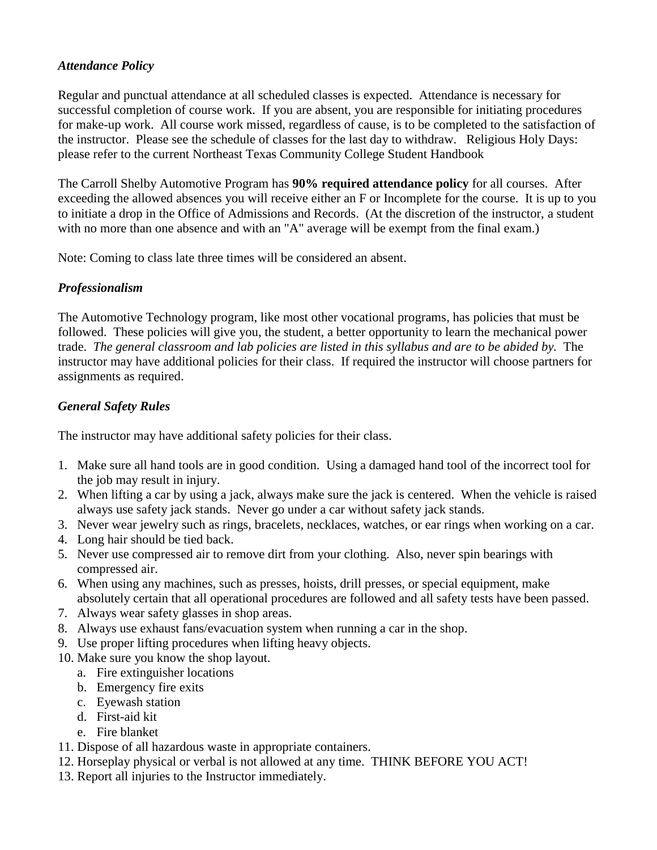## *Attendance Policy*

Regular and punctual attendance at all scheduled classes is expected. Attendance is necessary for successful completion of course work. If you are absent, you are responsible for initiating procedures for make-up work. All course work missed, regardless of cause, is to be completed to the satisfaction of the instructor. Please see the schedule of classes for the last day to withdraw. Religious Holy Days: please refer to the current Northeast Texas Community College Student Handbook

The Carroll Shelby Automotive Program has **90% required attendance policy** for all courses. After exceeding the allowed absences you will receive either an F or Incomplete for the course. It is up to you to initiate a drop in the Office of Admissions and Records. (At the discretion of the instructor, a student with no more than one absence and with an "A" average will be exempt from the final exam.)

Note: Coming to class late three times will be considered an absent.

# *Professionalism*

The Automotive Technology program, like most other vocational programs, has policies that must be followed. These policies will give you, the student, a better opportunity to learn the mechanical power trade. *The general classroom and lab policies are listed in this syllabus and are to be abided by.* The instructor may have additional policies for their class. If required the instructor will choose partners for assignments as required.

# *General Safety Rules*

The instructor may have additional safety policies for their class.

- 1. Make sure all hand tools are in good condition. Using a damaged hand tool of the incorrect tool for the job may result in injury.
- 2. When lifting a car by using a jack, always make sure the jack is centered. When the vehicle is raised always use safety jack stands. Never go under a car without safety jack stands.
- 3. Never wear jewelry such as rings, bracelets, necklaces, watches, or ear rings when working on a car.
- 4. Long hair should be tied back.
- 5. Never use compressed air to remove dirt from your clothing. Also, never spin bearings with compressed air.
- 6. When using any machines, such as presses, hoists, drill presses, or special equipment, make absolutely certain that all operational procedures are followed and all safety tests have been passed.
- 7. Always wear safety glasses in shop areas.
- 8. Always use exhaust fans/evacuation system when running a car in the shop.
- 9. Use proper lifting procedures when lifting heavy objects.
- 10. Make sure you know the shop layout.
	- a. Fire extinguisher locations
	- b. Emergency fire exits
	- c. Eyewash station
	- d. First-aid kit
	- e. Fire blanket
- 11. Dispose of all hazardous waste in appropriate containers.
- 12. Horseplay physical or verbal is not allowed at any time. THINK BEFORE YOU ACT!
- 13. Report all injuries to the Instructor immediately.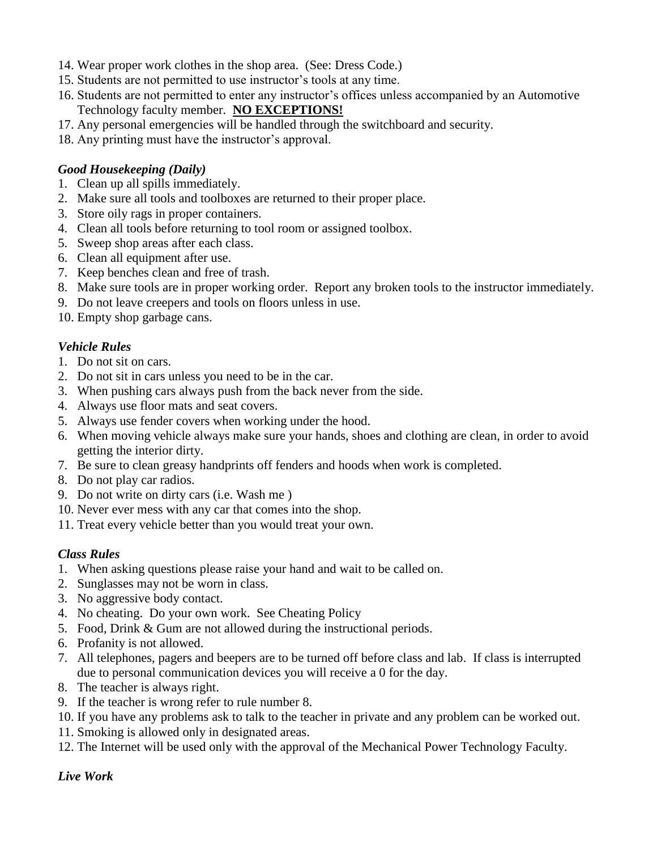- 14. Wear proper work clothes in the shop area. (See: Dress Code.)
- 15. Students are not permitted to use instructor's tools at any time.
- 16. Students are not permitted to enter any instructor's offices unless accompanied by an Automotive Technology faculty member. **NO EXCEPTIONS!**
- 17. Any personal emergencies will be handled through the switchboard and security.
- 18. Any printing must have the instructor's approval.

#### *Good Housekeeping (Daily)*

- 1. Clean up all spills immediately.
- 2. Make sure all tools and toolboxes are returned to their proper place.
- 3. Store oily rags in proper containers.
- 4. Clean all tools before returning to tool room or assigned toolbox.
- 5. Sweep shop areas after each class.
- 6. Clean all equipment after use.
- 7. Keep benches clean and free of trash.
- 8. Make sure tools are in proper working order. Report any broken tools to the instructor immediately.
- 9. Do not leave creepers and tools on floors unless in use.
- 10. Empty shop garbage cans.

#### *Vehicle Rules*

- 1. Do not sit on cars.
- 2. Do not sit in cars unless you need to be in the car.
- 3. When pushing cars always push from the back never from the side.
- 4. Always use floor mats and seat covers.
- 5. Always use fender covers when working under the hood.
- 6. When moving vehicle always make sure your hands, shoes and clothing are clean, in order to avoid getting the interior dirty.
- 7. Be sure to clean greasy handprints off fenders and hoods when work is completed.
- 8. Do not play car radios.
- 9. Do not write on dirty cars (i.e. Wash me )
- 10. Never ever mess with any car that comes into the shop.
- 11. Treat every vehicle better than you would treat your own.

## *Class Rules*

- 1. When asking questions please raise your hand and wait to be called on.
- 2. Sunglasses may not be worn in class.
- 3. No aggressive body contact.
- 4. No cheating. Do your own work. See Cheating Policy
- 5. Food, Drink & Gum are not allowed during the instructional periods.
- 6. Profanity is not allowed.
- 7. All telephones, pagers and beepers are to be turned off before class and lab. If class is interrupted due to personal communication devices you will receive a 0 for the day.
- 8. The teacher is always right.
- 9. If the teacher is wrong refer to rule number 8.
- 10. If you have any problems ask to talk to the teacher in private and any problem can be worked out.
- 11. Smoking is allowed only in designated areas.
- 12. The Internet will be used only with the approval of the Mechanical Power Technology Faculty.

#### *Live Work*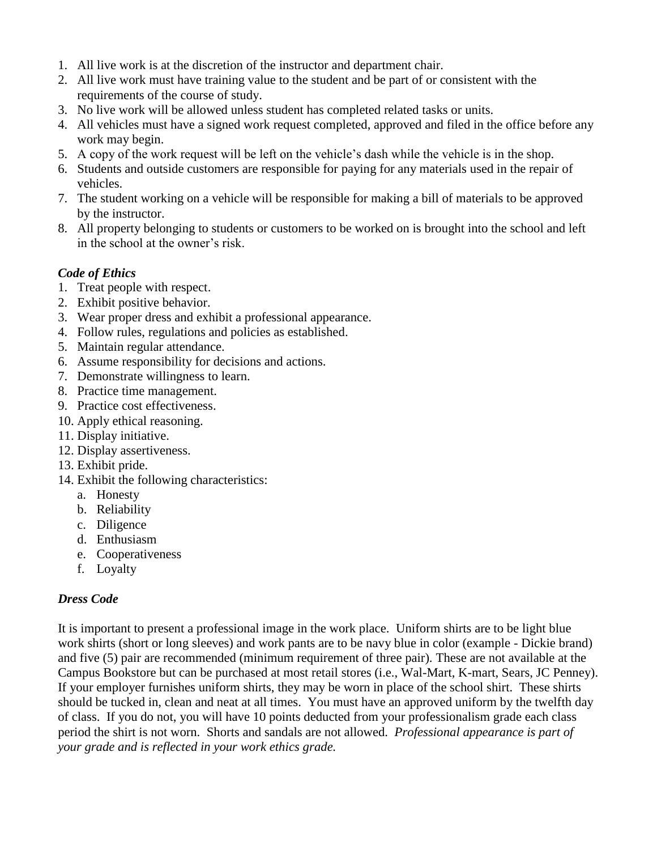- 1. All live work is at the discretion of the instructor and department chair.
- 2. All live work must have training value to the student and be part of or consistent with the requirements of the course of study.
- 3. No live work will be allowed unless student has completed related tasks or units.
- 4. All vehicles must have a signed work request completed, approved and filed in the office before any work may begin.
- 5. A copy of the work request will be left on the vehicle's dash while the vehicle is in the shop.
- 6. Students and outside customers are responsible for paying for any materials used in the repair of vehicles.
- 7. The student working on a vehicle will be responsible for making a bill of materials to be approved by the instructor.
- 8. All property belonging to students or customers to be worked on is brought into the school and left in the school at the owner's risk.

# *Code of Ethics*

- 1. Treat people with respect.
- 2. Exhibit positive behavior.
- 3. Wear proper dress and exhibit a professional appearance.
- 4. Follow rules, regulations and policies as established.
- 5. Maintain regular attendance.
- 6. Assume responsibility for decisions and actions.
- 7. Demonstrate willingness to learn.
- 8. Practice time management.
- 9. Practice cost effectiveness.
- 10. Apply ethical reasoning.
- 11. Display initiative.
- 12. Display assertiveness.
- 13. Exhibit pride.
- 14. Exhibit the following characteristics:
	- a. Honesty
	- b. Reliability
	- c. Diligence
	- d. Enthusiasm
	- e. Cooperativeness
	- f. Loyalty

## *Dress Code*

It is important to present a professional image in the work place. Uniform shirts are to be light blue work shirts (short or long sleeves) and work pants are to be navy blue in color (example - Dickie brand) and five (5) pair are recommended (minimum requirement of three pair). These are not available at the Campus Bookstore but can be purchased at most retail stores (i.e., Wal-Mart, K-mart, Sears, JC Penney). If your employer furnishes uniform shirts, they may be worn in place of the school shirt. These shirts should be tucked in, clean and neat at all times. You must have an approved uniform by the twelfth day of class. If you do not, you will have 10 points deducted from your professionalism grade each class period the shirt is not worn. Shorts and sandals are not allowed. *Professional appearance is part of your grade and is reflected in your work ethics grade.*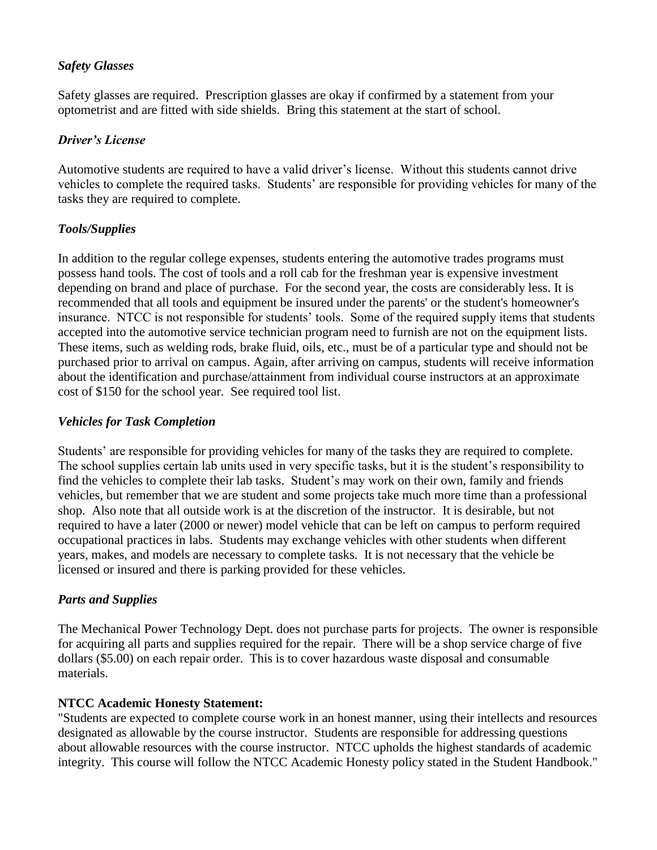## *Safety Glasses*

Safety glasses are required. Prescription glasses are okay if confirmed by a statement from your optometrist and are fitted with side shields. Bring this statement at the start of school.

#### *Driver's License*

Automotive students are required to have a valid driver's license. Without this students cannot drive vehicles to complete the required tasks. Students' are responsible for providing vehicles for many of the tasks they are required to complete.

# *Tools/Supplies*

In addition to the regular college expenses, students entering the automotive trades programs must possess hand tools. The cost of tools and a roll cab for the freshman year is expensive investment depending on brand and place of purchase. For the second year, the costs are considerably less. It is recommended that all tools and equipment be insured under the parents' or the student's homeowner's insurance. NTCC is not responsible for students' tools. Some of the required supply items that students accepted into the automotive service technician program need to furnish are not on the equipment lists. These items, such as welding rods, brake fluid, oils, etc., must be of a particular type and should not be purchased prior to arrival on campus. Again, after arriving on campus, students will receive information about the identification and purchase/attainment from individual course instructors at an approximate cost of \$150 for the school year. See required tool list.

## *Vehicles for Task Completion*

Students' are responsible for providing vehicles for many of the tasks they are required to complete. The school supplies certain lab units used in very specific tasks, but it is the student's responsibility to find the vehicles to complete their lab tasks. Student's may work on their own, family and friends vehicles, but remember that we are student and some projects take much more time than a professional shop. Also note that all outside work is at the discretion of the instructor. It is desirable, but not required to have a later (2000 or newer) model vehicle that can be left on campus to perform required occupational practices in labs. Students may exchange vehicles with other students when different years, makes, and models are necessary to complete tasks. It is not necessary that the vehicle be licensed or insured and there is parking provided for these vehicles.

## *Parts and Supplies*

The Mechanical Power Technology Dept. does not purchase parts for projects. The owner is responsible for acquiring all parts and supplies required for the repair. There will be a shop service charge of five dollars (\$5.00) on each repair order. This is to cover hazardous waste disposal and consumable materials.

## **NTCC Academic Honesty Statement:**

"Students are expected to complete course work in an honest manner, using their intellects and resources designated as allowable by the course instructor. Students are responsible for addressing questions about allowable resources with the course instructor. NTCC upholds the highest standards of academic integrity. This course will follow the NTCC Academic Honesty policy stated in the Student Handbook."